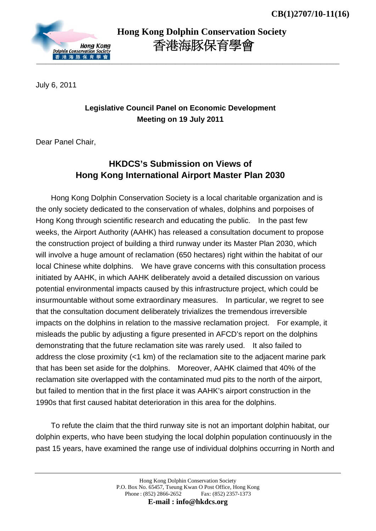

 **Hong Kong Dolphin Conservation Society** 香港海豚保育學會

July 6, 2011

## **Legislative Council Panel on Economic Development Meeting on 19 July 2011**

Dear Panel Chair,

## **HKDCS's Submission on Views of Hong Kong International Airport Master Plan 2030**

Hong Kong Dolphin Conservation Society is a local charitable organization and is the only society dedicated to the conservation of whales, dolphins and porpoises of Hong Kong through scientific research and educating the public. In the past few weeks, the Airport Authority (AAHK) has released a consultation document to propose the construction project of building a third runway under its Master Plan 2030, which will involve a huge amount of reclamation (650 hectares) right within the habitat of our local Chinese white dolphins. We have grave concerns with this consultation process initiated by AAHK, in which AAHK deliberately avoid a detailed discussion on various potential environmental impacts caused by this infrastructure project, which could be insurmountable without some extraordinary measures. In particular, we regret to see that the consultation document deliberately trivializes the tremendous irreversible impacts on the dolphins in relation to the massive reclamation project. For example, it misleads the public by adjusting a figure presented in AFCD's report on the dolphins demonstrating that the future reclamation site was rarely used. It also failed to address the close proximity (<1 km) of the reclamation site to the adjacent marine park that has been set aside for the dolphins. Moreover, AAHK claimed that 40% of the reclamation site overlapped with the contaminated mud pits to the north of the airport, but failed to mention that in the first place it was AAHK's airport construction in the 1990s that first caused habitat deterioration in this area for the dolphins.

To refute the claim that the third runway site is not an important dolphin habitat, our dolphin experts, who have been studying the local dolphin population continuously in the past 15 years, have examined the range use of individual dolphins occurring in North and